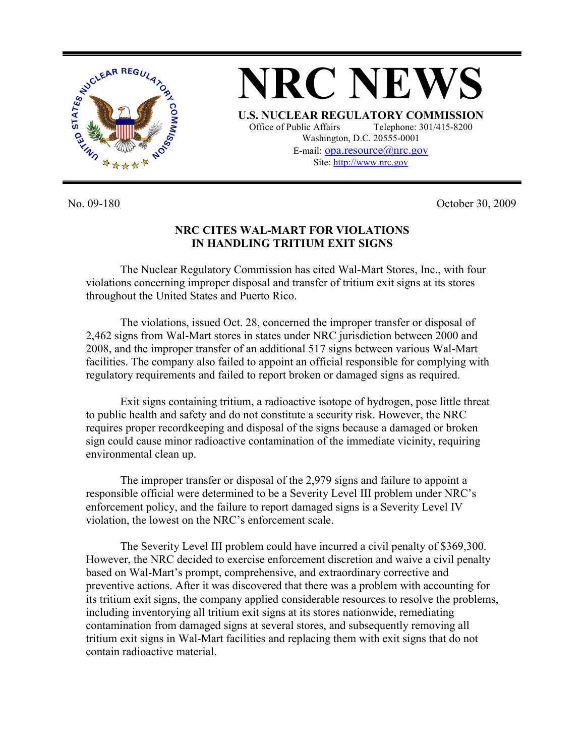

**NRC NEWS U.S. NUCLEAR REGULATORY COMMISSION** Office of Public Affairs Telephone: 301/415-8200 Washington, D.C. 20555-0001 E-mail: opa.resource@nrc.gov Site: http://www.nrc.gov

No. 09-180 October 30, 2009

## **NRC CITES WAL-MART FOR VIOLATIONS IN HANDLING TRITIUM EXIT SIGNS**

The Nuclear Regulatory Commission has cited Wal-Mart Stores, Inc., with four violations concerning improper disposal and transfer of tritium exit signs at its stores throughout the United States and Puerto Rico.

 The violations, issued Oct. 28, concerned the improper transfer or disposal of 2,462 signs from Wal-Mart stores in states under NRC jurisdiction between 2000 and 2008, and the improper transfer of an additional 517 signs between various Wal-Mart facilities. The company also failed to appoint an official responsible for complying with regulatory requirements and failed to report broken or damaged signs as required.

 Exit signs containing tritium, a radioactive isotope of hydrogen, pose little threat to public health and safety and do not constitute a security risk. However, the NRC requires proper recordkeeping and disposal of the signs because a damaged or broken sign could cause minor radioactive contamination of the immediate vicinity, requiring environmental clean up.

 The improper transfer or disposal of the 2,979 signs and failure to appoint a responsible official were determined to be a Severity Level III problem under NRC's enforcement policy, and the failure to report damaged signs is a Severity Level IV violation, the lowest on the NRC's enforcement scale.

 The Severity Level III problem could have incurred a civil penalty of \$369,300. However, the NRC decided to exercise enforcement discretion and waive a civil penalty based on Wal-Mart's prompt, comprehensive, and extraordinary corrective and preventive actions. After it was discovered that there was a problem with accounting for its tritium exit signs, the company applied considerable resources to resolve the problems, including inventorying all tritium exit signs at its stores nationwide, remediating contamination from damaged signs at several stores, and subsequently removing all tritium exit signs in Wal-Mart facilities and replacing them with exit signs that do not contain radioactive material.